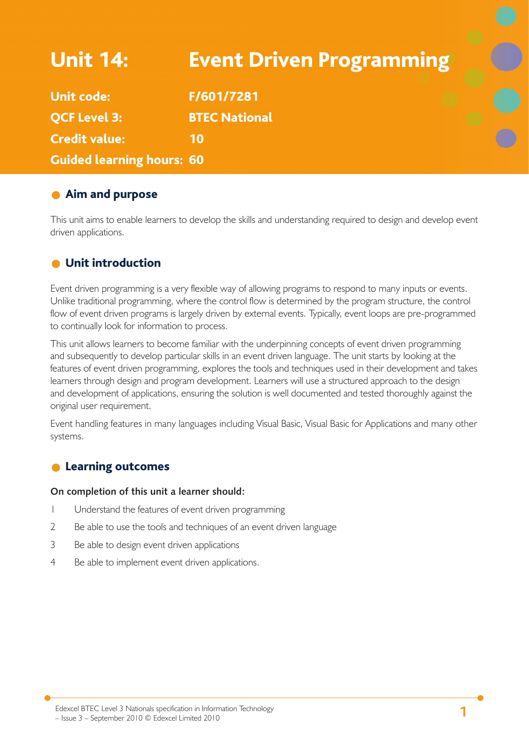# Unit 14: Event Driven Programming Unit code: F/601/7281 **OCF Level 3: BTEC National** Credit value: 10 Guided learning hours: 60

## **Aim and purpose**

This unit aims to enable learners to develop the skills and understanding required to design and develop event driven applications.

## **O** Unit introduction

Event driven programming is a very flexible way of allowing programs to respond to many inputs or events. Unlike traditional programming, where the control flow is determined by the program structure, the control flow of event driven programs is largely driven by external events. Typically, event loops are pre-programmed to continually look for information to process.

This unit allows learners to become familiar with the underpinning concepts of event driven programming and subsequently to develop particular skills in an event driven language. The unit starts by looking at the features of event driven programming, explores the tools and techniques used in their development and takes learners through design and program development. Learners will use a structured approach to the design and development of applications, ensuring the solution is well documented and tested thoroughly against the original user requirement.

Event handling features in many languages including Visual Basic, Visual Basic for Applications and many other systems.

#### Learning outcomes  $\bullet$

#### **On completion of this unit a learner should:**

- 1 Understand the features of event driven programming
- 2 Be able to use the tools and techniques of an event driven language
- 3 Be able to design event driven applications
- 4 Be able to implement event driven applications.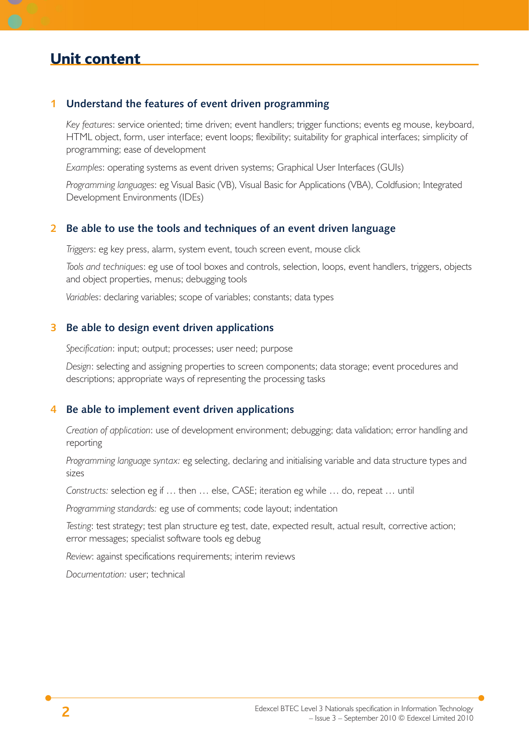#### **1 Understand the features of event driven programming**

*Key features*: service oriented; time driven; event handlers; trigger functions; events eg mouse, keyboard, HTML object, form, user interface; event loops; flexibility; suitability for graphical interfaces; simplicity of programming; ease of development

*Examples*: operating systems as event driven systems; Graphical User Interfaces (GUIs)

*Programming languages*: eg Visual Basic (VB), Visual Basic for Applications (VBA), Coldfusion; Integrated Development Environments (IDEs)

#### **2 Be able to use the tools and techniques of an event driven language**

*Triggers*: eg key press, alarm, system event, touch screen event, mouse click

*Tools and techniques*: eg use of tool boxes and controls, selection, loops, event handlers, triggers, objects and object properties, menus; debugging tools

*Variables*: declaring variables; scope of variables; constants; data types

#### **3 Be able to design event driven applications**

*Specification*: input; output; processes; user need; purpose

*Design*: selecting and assigning properties to screen components; data storage; event procedures and descriptions; appropriate ways of representing the processing tasks

#### **4 Be able to implement event driven applications**

*Creation of application*: use of development environment; debugging; data validation; error handling and reporting

*Programming language syntax:* eg selecting, declaring and initialising variable and data structure types and sizes

*Constructs:* selection eg if … then … else, CASE; iteration eg while … do, repeat … until

*Programming standards:* eg use of comments; code layout; indentation

*Testing*: test strategy; test plan structure eg test, date, expected result, actual result, corrective action; error messages; specialist software tools eg debug

*Review*: against specifications requirements; interim reviews

*Documentation:* user; technical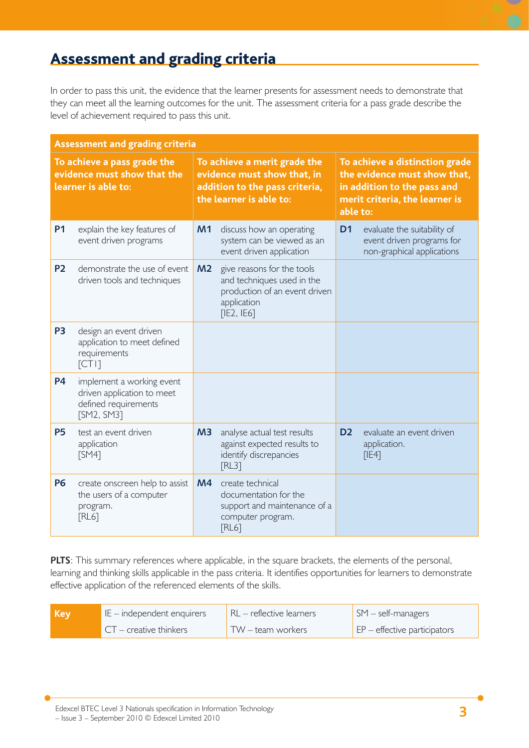## Assessment and grading criteria

In order to pass this unit, the evidence that the learner presents for assessment needs to demonstrate that they can meet all the learning outcomes for the unit. The assessment criteria for a pass grade describe the level of achievement required to pass this unit.

| <b>Assessment and grading criteria</b>                                            |                                                                                               |                                                                                                                          |                                                                                                                        |                                                                                                                                             |                                                                                        |
|-----------------------------------------------------------------------------------|-----------------------------------------------------------------------------------------------|--------------------------------------------------------------------------------------------------------------------------|------------------------------------------------------------------------------------------------------------------------|---------------------------------------------------------------------------------------------------------------------------------------------|----------------------------------------------------------------------------------------|
| To achieve a pass grade the<br>evidence must show that the<br>learner is able to: |                                                                                               | To achieve a merit grade the<br>evidence must show that, in<br>addition to the pass criteria,<br>the learner is able to: |                                                                                                                        | To achieve a distinction grade<br>the evidence must show that,<br>in addition to the pass and<br>merit criteria, the learner is<br>able to: |                                                                                        |
| <b>P1</b>                                                                         | explain the key features of<br>event driven programs                                          | M <sub>1</sub>                                                                                                           | discuss how an operating<br>system can be viewed as an<br>event driven application                                     | D <sub>1</sub>                                                                                                                              | evaluate the suitability of<br>event driven programs for<br>non-graphical applications |
| <b>P2</b>                                                                         | demonstrate the use of event<br>driven tools and techniques                                   | M <sub>2</sub>                                                                                                           | give reasons for the tools<br>and techniques used in the<br>production of an event driven<br>application<br>[IE2, IE6] |                                                                                                                                             |                                                                                        |
| P <sub>3</sub>                                                                    | design an event driven<br>application to meet defined<br>requirements<br>[CT1]                |                                                                                                                          |                                                                                                                        |                                                                                                                                             |                                                                                        |
| <b>P4</b>                                                                         | implement a working event<br>driven application to meet<br>defined requirements<br>[SM2, SM3] |                                                                                                                          |                                                                                                                        |                                                                                                                                             |                                                                                        |
| <b>P5</b>                                                                         | test an event driven<br>application<br>[SM4]                                                  | M3                                                                                                                       | analyse actual test results<br>against expected results to<br>identify discrepancies<br>[RL3]                          | D <sub>2</sub>                                                                                                                              | evaluate an event driven<br>application.<br>[IE4]                                      |
| <b>P6</b>                                                                         | create onscreen help to assist<br>the users of a computer<br>program.<br><b>FRL67</b>         | M <sub>4</sub>                                                                                                           | create technical<br>documentation for the<br>support and maintenance of a<br>computer program.<br><b>FRL67</b>         |                                                                                                                                             |                                                                                        |

**PLTS**: This summary references where applicable, in the square brackets, the elements of the personal, learning and thinking skills applicable in the pass criteria. It identifies opportunities for learners to demonstrate effective application of the referenced elements of the skills.

| Key | IE – independent enquirers      | I RL – reflective learners | $\mathsf{SM}$ – self-managers                       |
|-----|---------------------------------|----------------------------|-----------------------------------------------------|
|     | $\Gamma$ CT – creative thinkers | TW – team workers          | $\mathsf{E}$ $\mathsf{P}$ – effective participators |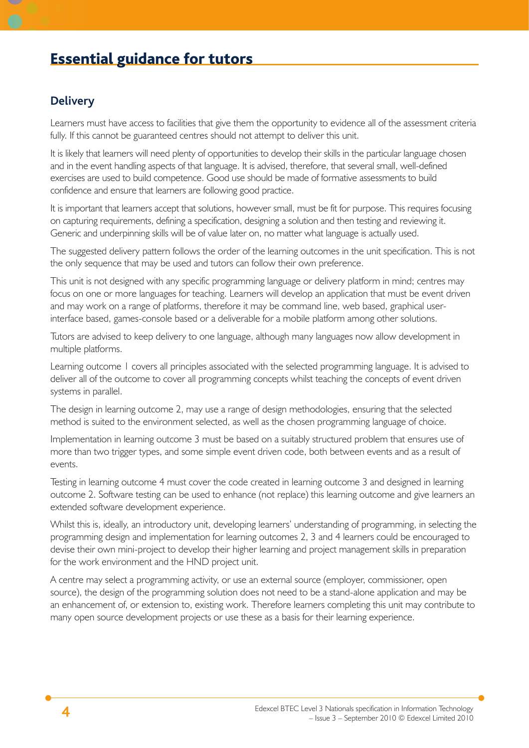## Essential guidance for tutors

### **Delivery**

Learners must have access to facilities that give them the opportunity to evidence all of the assessment criteria fully. If this cannot be guaranteed centres should not attempt to deliver this unit.

It is likely that learners will need plenty of opportunities to develop their skills in the particular language chosen and in the event handling aspects of that language. It is advised, therefore, that several small, well-defined exercises are used to build competence. Good use should be made of formative assessments to build confidence and ensure that learners are following good practice.

It is important that learners accept that solutions, however small, must be fit for purpose. This requires focusing on capturing requirements, defining a specification, designing a solution and then testing and reviewing it. Generic and underpinning skills will be of value later on, no matter what language is actually used.

The suggested delivery pattern follows the order of the learning outcomes in the unit specification. This is not the only sequence that may be used and tutors can follow their own preference.

This unit is not designed with any specific programming language or delivery platform in mind; centres may focus on one or more languages for teaching. Learners will develop an application that must be event driven and may work on a range of platforms, therefore it may be command line, web based, graphical userinterface based, games-console based or a deliverable for a mobile platform among other solutions.

Tutors are advised to keep delivery to one language, although many languages now allow development in multiple platforms.

Learning outcome 1 covers all principles associated with the selected programming language. It is advised to deliver all of the outcome to cover all programming concepts whilst teaching the concepts of event driven systems in parallel.

The design in learning outcome 2, may use a range of design methodologies, ensuring that the selected method is suited to the environment selected, as well as the chosen programming language of choice.

Implementation in learning outcome 3 must be based on a suitably structured problem that ensures use of more than two trigger types, and some simple event driven code, both between events and as a result of events.

Testing in learning outcome 4 must cover the code created in learning outcome 3 and designed in learning outcome 2. Software testing can be used to enhance (not replace) this learning outcome and give learners an extended software development experience.

Whilst this is, ideally, an introductory unit, developing learners' understanding of programming, in selecting the programming design and implementation for learning outcomes 2, 3 and 4 learners could be encouraged to devise their own mini-project to develop their higher learning and project management skills in preparation for the work environment and the HND project unit.

A centre may select a programming activity, or use an external source (employer, commissioner, open source), the design of the programming solution does not need to be a stand-alone application and may be an enhancement of, or extension to, existing work. Therefore learners completing this unit may contribute to many open source development projects or use these as a basis for their learning experience.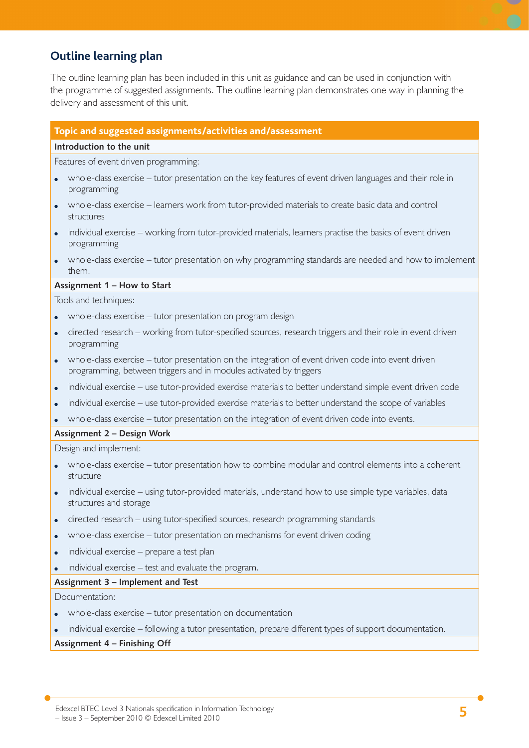## **Outline learning plan**

The outline learning plan has been included in this unit as guidance and can be used in conjunction with the programme of suggested assignments. The outline learning plan demonstrates one way in planning the delivery and assessment of this unit.

#### **Topic and suggested assignments/activities and/assessment**

#### **Introduction to the unit**

Features of event driven programming:

- whole-class exercise tutor presentation on the key features of event driven languages and their role in programming
- whole-class exercise learners work from tutor-provided materials to create basic data and control structures
- individual exercise working from tutor-provided materials, learners practise the basics of event driven programming
- whole-class exercise tutor presentation on why programming standards are needed and how to implement them.

#### **Assignment 1 – How to Start**

Tools and techniques:

- whole-class exercise tutor presentation on program design
- directed research working from tutor-specified sources, research triggers and their role in event driven programming
- whole-class exercise tutor presentation on the integration of event driven code into event driven programming, between triggers and in modules activated by triggers
- individual exercise use tutor-provided exercise materials to better understand simple event driven code
- individual exercise use tutor-provided exercise materials to better understand the scope of variables

• whole-class exercise – tutor presentation on the integration of event driven code into events.

**Assignment 2 – Design Work**

Design and implement:

- whole-class exercise tutor presentation how to combine modular and control elements into a coherent structure
- individual exercise using tutor-provided materials, understand how to use simple type variables, data structures and storage
- directed research using tutor-specified sources, research programming standards
- whole-class exercise tutor presentation on mechanisms for event driven coding
- individual exercise prepare a test plan
- individual exercise test and evaluate the program.

#### **Assignment 3 – Implement and Test**

Documentation:

- whole-class exercise tutor presentation on documentation
- individual exercise following a tutor presentation, prepare different types of support documentation.

#### **Assignment 4 – Finishing Off**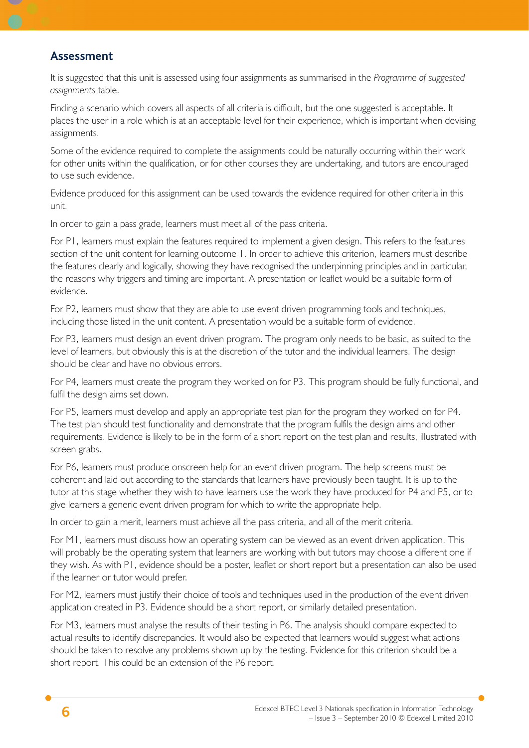### **Assessment**

It is suggested that this unit is assessed using four assignments as summarised in the *Programme of suggested assignments* table.

Finding a scenario which covers all aspects of all criteria is difficult, but the one suggested is acceptable. It places the user in a role which is at an acceptable level for their experience, which is important when devising assignments.

Some of the evidence required to complete the assignments could be naturally occurring within their work for other units within the qualification, or for other courses they are undertaking, and tutors are encouraged to use such evidence.

Evidence produced for this assignment can be used towards the evidence required for other criteria in this unit.

In order to gain a pass grade, learners must meet all of the pass criteria.

For P1, learners must explain the features required to implement a given design. This refers to the features section of the unit content for learning outcome 1. In order to achieve this criterion, learners must describe the features clearly and logically, showing they have recognised the underpinning principles and in particular, the reasons why triggers and timing are important. A presentation or leaflet would be a suitable form of evidence.

For P2, learners must show that they are able to use event driven programming tools and techniques, including those listed in the unit content. A presentation would be a suitable form of evidence.

For P3, learners must design an event driven program. The program only needs to be basic, as suited to the level of learners, but obviously this is at the discretion of the tutor and the individual learners. The design should be clear and have no obvious errors.

For P4, learners must create the program they worked on for P3. This program should be fully functional, and fulfil the design aims set down.

For P5, learners must develop and apply an appropriate test plan for the program they worked on for P4. The test plan should test functionality and demonstrate that the program fulfils the design aims and other requirements. Evidence is likely to be in the form of a short report on the test plan and results, illustrated with screen grabs.

For P6, learners must produce onscreen help for an event driven program. The help screens must be coherent and laid out according to the standards that learners have previously been taught. It is up to the tutor at this stage whether they wish to have learners use the work they have produced for P4 and P5, or to give learners a generic event driven program for which to write the appropriate help.

In order to gain a merit, learners must achieve all the pass criteria, and all of the merit criteria.

For M1, learners must discuss how an operating system can be viewed as an event driven application. This will probably be the operating system that learners are working with but tutors may choose a different one if they wish. As with P1, evidence should be a poster, leaflet or short report but a presentation can also be used if the learner or tutor would prefer.

For M2, learners must justify their choice of tools and techniques used in the production of the event driven application created in P3. Evidence should be a short report, or similarly detailed presentation.

For M3, learners must analyse the results of their testing in P6. The analysis should compare expected to actual results to identify discrepancies. It would also be expected that learners would suggest what actions should be taken to resolve any problems shown up by the testing. Evidence for this criterion should be a short report. This could be an extension of the P6 report.

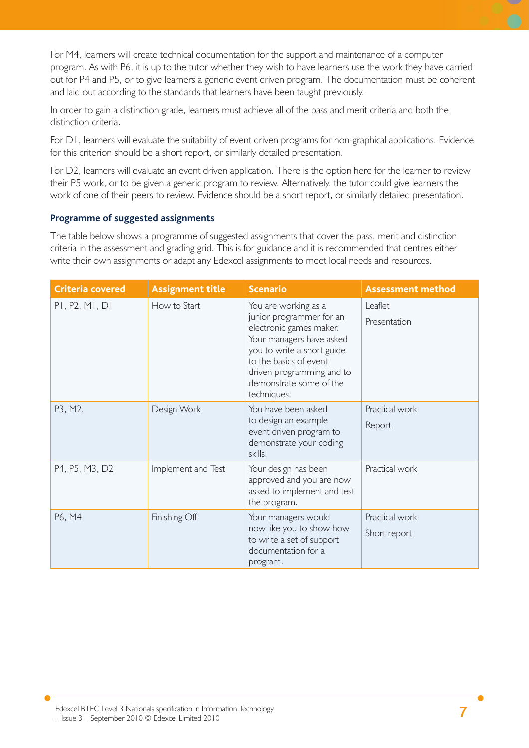For M4, learners will create technical documentation for the support and maintenance of a computer program. As with P6, it is up to the tutor whether they wish to have learners use the work they have carried out for P4 and P5, or to give learners a generic event driven program. The documentation must be coherent and laid out according to the standards that learners have been taught previously.

In order to gain a distinction grade, learners must achieve all of the pass and merit criteria and both the distinction criteria.

For D1, learners will evaluate the suitability of event driven programs for non-graphical applications. Evidence for this criterion should be a short report, or similarly detailed presentation.

For D2, learners will evaluate an event driven application. There is the option here for the learner to review their P5 work, or to be given a generic program to review. Alternatively, the tutor could give learners the work of one of their peers to review. Evidence should be a short report, or similarly detailed presentation.

#### **Programme of suggested assignments**

The table below shows a programme of suggested assignments that cover the pass, merit and distinction criteria in the assessment and grading grid. This is for guidance and it is recommended that centres either write their own assignments or adapt any Edexcel assignments to meet local needs and resources.

| <b>Criteria covered</b> | <b>Assignment title</b> | <b>Scenario</b>                                                                                                                                                                                                                        | <b>Assessment method</b>       |
|-------------------------|-------------------------|----------------------------------------------------------------------------------------------------------------------------------------------------------------------------------------------------------------------------------------|--------------------------------|
| PI, P2, MI, DI          | How to Start            | You are working as a<br>junior programmer for an<br>electronic games maker.<br>Your managers have asked<br>you to write a short guide<br>to the basics of event<br>driven programming and to<br>demonstrate some of the<br>techniques. | Leaflet<br>Presentation        |
| P3, M2,                 | Design Work             | You have been asked<br>to design an example<br>event driven program to<br>demonstrate your coding<br>skills.                                                                                                                           | Practical work<br>Report       |
| P4, P5, M3, D2          | Implement and Test      | Your design has been<br>approved and you are now<br>asked to implement and test<br>the program.                                                                                                                                        | Practical work                 |
| P6, M4                  | Finishing Off           | Your managers would<br>now like you to show how<br>to write a set of support<br>documentation for a<br>program.                                                                                                                        | Practical work<br>Short report |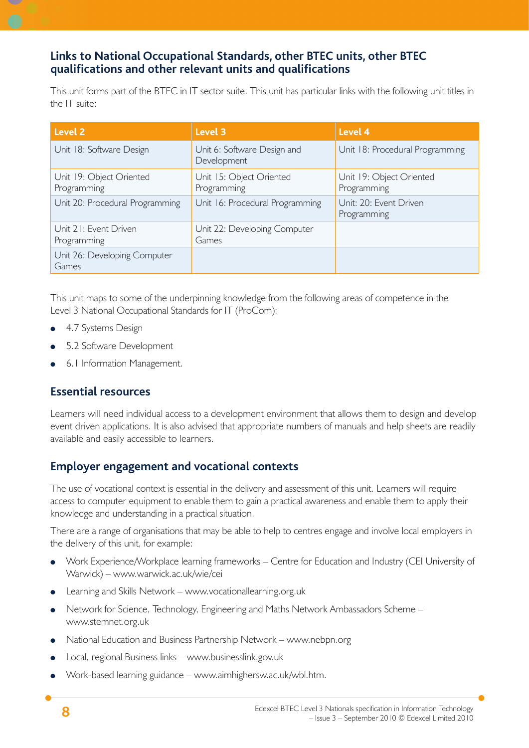## **Links to National Occupational Standards, other BTEC units, other BTEC qualifi cations and other relevant units and qualifi cations**

This unit forms part of the BTEC in IT sector suite. This unit has particular links with the following unit titles in the IT suite:

| Level 2                                 | Level 3                                    | Level 4                                 |
|-----------------------------------------|--------------------------------------------|-----------------------------------------|
| Unit 18: Software Design                | Unit 6: Software Design and<br>Development | Unit 18: Procedural Programming         |
| Unit 19: Object Oriented<br>Programming | Unit 15: Object Oriented<br>Programming    | Unit 19: Object Oriented<br>Programming |
| Unit 20: Procedural Programming         | Unit 16: Procedural Programming            | Unit: 20: Event Driven<br>Programming   |
| Unit 21: Event Driven<br>Programming    | Unit 22: Developing Computer<br>Games      |                                         |
| Unit 26: Developing Computer<br>Games   |                                            |                                         |

This unit maps to some of the underpinning knowledge from the following areas of competence in the Level 3 National Occupational Standards for IT (ProCom):

- 4.7 Systems Design ●
- 5.2 Software Development ●
- 6.1 Information Management. ●

## **Essential resources**

Learners will need individual access to a development environment that allows them to design and develop event driven applications. It is also advised that appropriate numbers of manuals and help sheets are readily available and easily accessible to learners.

## **Employer engagement and vocational contexts**

The use of vocational context is essential in the delivery and assessment of this unit. Learners will require access to computer equipment to enable them to gain a practical awareness and enable them to apply their knowledge and understanding in a practical situation.

There are a range of organisations that may be able to help to centres engage and involve local employers in the delivery of this unit, for example:

- Work Experience/Workplace learning frameworks Centre for Education and Industry (CEI University of Warwick) – www.warwick.ac.uk/wie/cei ●
- Learning and Skills Network www.vocationallearning.org.uk ●
- Network for Science, Technology, Engineering and Maths Network Ambassadors Scheme www.stemnet.org.uk ●
- National Education and Business Partnership Network www.nebpn.org ●
- Local, regional Business links www.businesslink.gov.uk ●
- Work-based learning guidance www.aimhighersw.ac.uk/wbl.htm. ●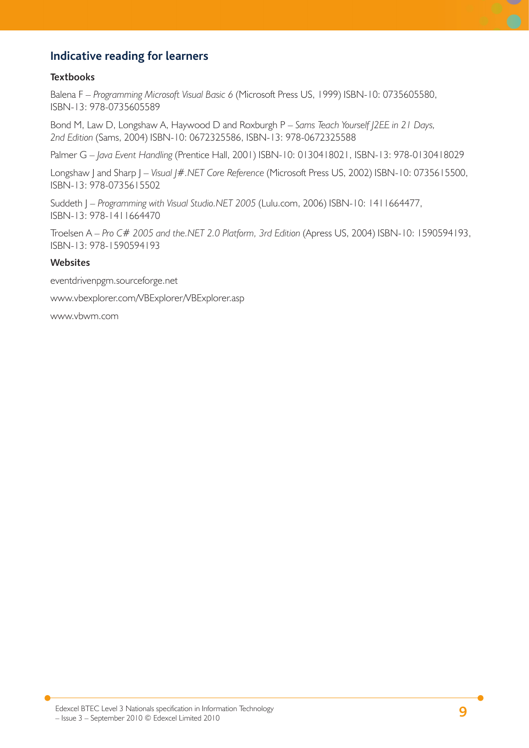## **Indicative reading for learners**

#### **Textbooks**

Balena F – *Programming Microsoft Visual Basic 6* (Microsoft Press US, 1999) ISBN-10: 0735605580, ISBN-13: 978-0735605589

Bond M, Law D, Longshaw A, Haywood D and Roxburgh P – *Sams Teach Yourself J2EE in 21 Days, 2nd Edition* (Sams, 2004) ISBN-10: 0672325586, ISBN-13: 978-0672325588

Palmer G – *Java Event Handling* (Prentice Hall, 2001) ISBN-10: 0130418021, ISBN-13: 978-0130418029

Longshaw J and Sharp J – *Visual J#.NET Core Reference* (Microsoft Press US, 2002) ISBN-10: 0735615500, ISBN-13: 978-0735615502

Suddeth J – *Programming with Visual Studio.NET 2005* (Lulu.com, 2006) ISBN-10: 1411664477, ISBN-13: 978-1411664470

Troelsen A – *Pro C# 2005 and the.NET 2.0 Platform, 3rd Edition* (Apress US, 2004) ISBN-10: 1590594193, ISBN-13: 978-1590594193

#### **Websites**

eventdrivenpgm.sourceforge.net

www.vbexplorer.com/VBExplorer/VBExplorer.asp

www.vbwm.com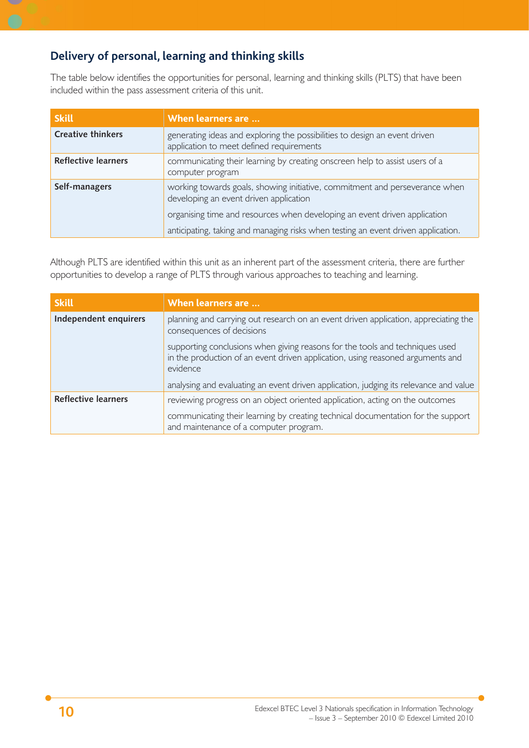## **Delivery of personal, learning and thinking skills**

The table below identifies the opportunities for personal, learning and thinking skills (PLTS) that have been included within the pass assessment criteria of this unit.

| <b>Skill</b>               | When learners are                                                                                                                                                                                  |  |
|----------------------------|----------------------------------------------------------------------------------------------------------------------------------------------------------------------------------------------------|--|
| <b>Creative thinkers</b>   | generating ideas and exploring the possibilities to design an event driven<br>application to meet defined requirements                                                                             |  |
| <b>Reflective learners</b> | communicating their learning by creating onscreen help to assist users of a<br>computer program                                                                                                    |  |
| Self-managers              | working towards goals, showing initiative, commitment and perseverance when<br>developing an event driven application<br>organising time and resources when developing an event driven application |  |
|                            | anticipating, taking and managing risks when testing an event driven application.                                                                                                                  |  |

Although PLTS are identified within this unit as an inherent part of the assessment criteria, there are further opportunities to develop a range of PLTS through various approaches to teaching and learning.

| <b>Skill</b>               | When learners are                                                                                                                                                          |
|----------------------------|----------------------------------------------------------------------------------------------------------------------------------------------------------------------------|
| Independent enquirers      | planning and carrying out research on an event driven application, appreciating the<br>consequences of decisions                                                           |
|                            | supporting conclusions when giving reasons for the tools and techniques used<br>in the production of an event driven application, using reasoned arguments and<br>evidence |
|                            | analysing and evaluating an event driven application, judging its relevance and value                                                                                      |
| <b>Reflective learners</b> | reviewing progress on an object oriented application, acting on the outcomes                                                                                               |
|                            | communicating their learning by creating technical documentation for the support<br>and maintenance of a computer program.                                                 |